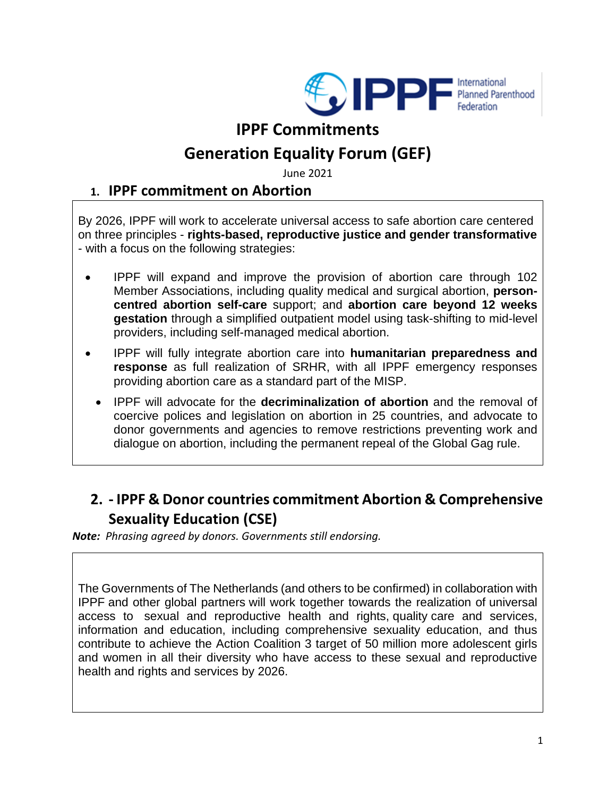

## **IPPF Commitments**

# **Generation Equality Forum (GEF)**

June 2021

#### **1. IPPF commitment on Abortion**

By 2026, IPPF will work to accelerate universal access to safe abortion care centered on three principles - **rights-based, reproductive justice and gender transformative**  - with a focus on the following strategies:

- IPPF will expand and improve the provision of abortion care through 102 Member Associations, including quality medical and surgical abortion, **personcentred abortion self-care** support; and **abortion care beyond 12 weeks gestation** through a simplified outpatient model using task-shifting to mid-level providers, including self-managed medical abortion.
- IPPF will fully integrate abortion care into **humanitarian preparedness and response** as full realization of SRHR, with all IPPF emergency responses providing abortion care as a standard part of the MISP.
	- IPPF will advocate for the **decriminalization of abortion** and the removal of coercive polices and legislation on abortion in 25 countries, and advocate to donor governments and agencies to remove restrictions preventing work and dialogue on abortion, including the permanent repeal of the Global Gag rule.

### **2. - IPPF & Donor countries commitment Abortion & Comprehensive Sexuality Education (CSE)**

*Note: Phrasing agreed by donors. Governments still endorsing.* 

The Governments of The Netherlands (and others to be confirmed) in collaboration with IPPF and other global partners will work together towards the realization of universal access to sexual and reproductive health and rights, quality care and services, information and education, including comprehensive sexuality education, and thus contribute to achieve the Action Coalition 3 target of 50 million more adolescent girls and women in all their diversity who have access to these sexual and reproductive health and rights and services by 2026.